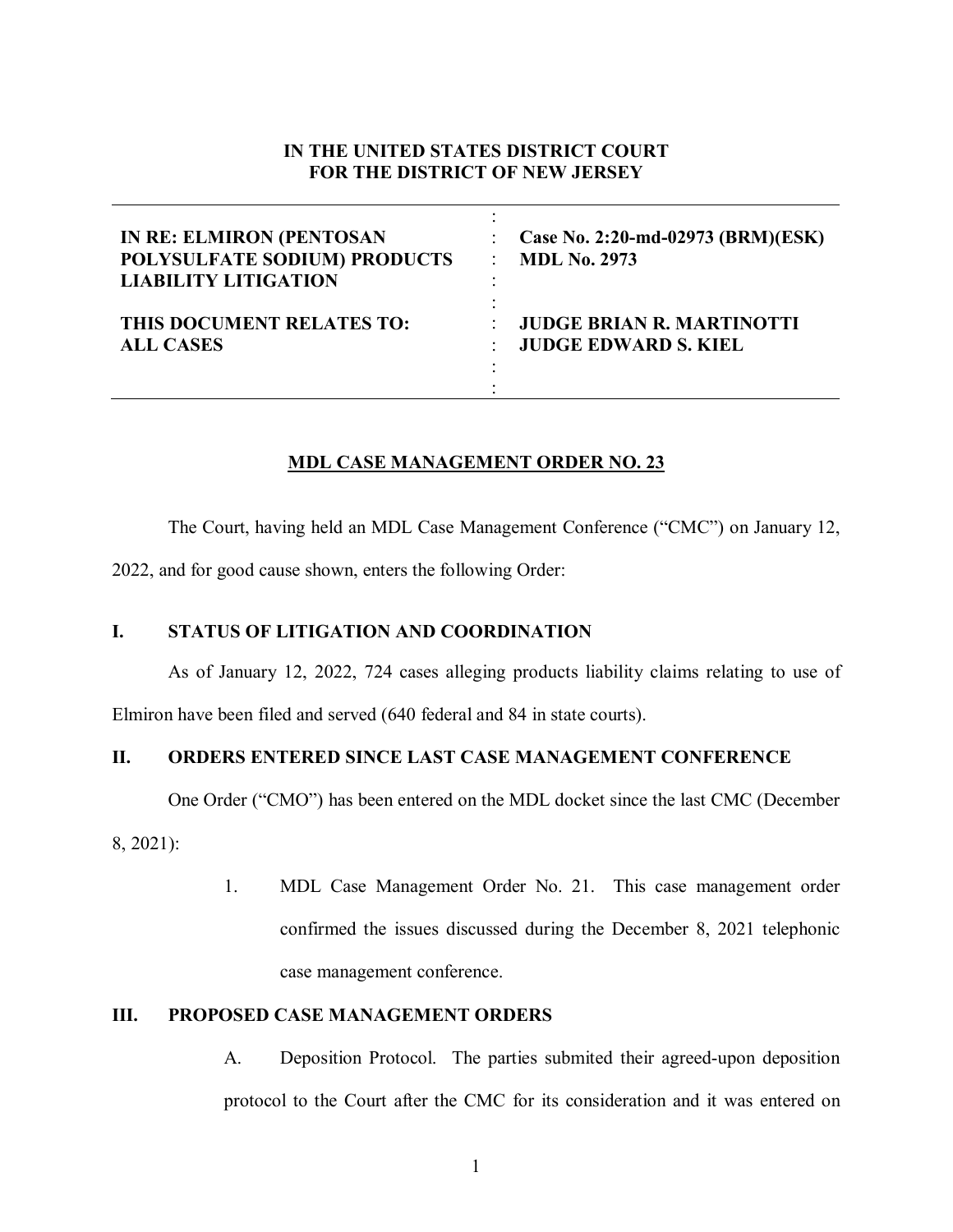## **IN THE UNITED STATES DISTRICT COURT FOR THE DISTRICT OF NEW JERSEY**

| <b>IN RE: ELMIRON (PENTOSAN</b> | Case No. 2:20-md-02973 (BRM)(ESK) |
|---------------------------------|-----------------------------------|
| POLYSULFATE SODIUM) PRODUCTS    | <b>MDL No. 2973</b>               |
| <b>LIABILITY LITIGATION</b>     | ۰                                 |
| THIS DOCUMENT RELATES TO:       | <b>JUDGE BRIAN R. MARTINOTTI</b>  |
| <b>ALL CASES</b>                | <b>JUDGE EDWARD S. KIEL</b>       |

## **MDL CASE MANAGEMENT ORDER NO. 23**

The Court, having held an MDL Case Management Conference ("CMC") on January 12,

2022, and for good cause shown, enters the following Order:

## **I. STATUS OF LITIGATION AND COORDINATION**

As of January 12, 2022, 724 cases alleging products liability claims relating to use of

Elmiron have been filed and served (640 federal and 84 in state courts).

# **II. ORDERS ENTERED SINCE LAST CASE MANAGEMENT CONFERENCE**

One Order ("CMO") has been entered on the MDL docket since the last CMC (December

8, 2021):

1. MDL Case Management Order No. 21. This case management order confirmed the issues discussed during the December 8, 2021 telephonic case management conference.

### **III. PROPOSED CASE MANAGEMENT ORDERS**

A. Deposition Protocol. The parties submited their agreed-upon deposition protocol to the Court after the CMC for its consideration and it was entered on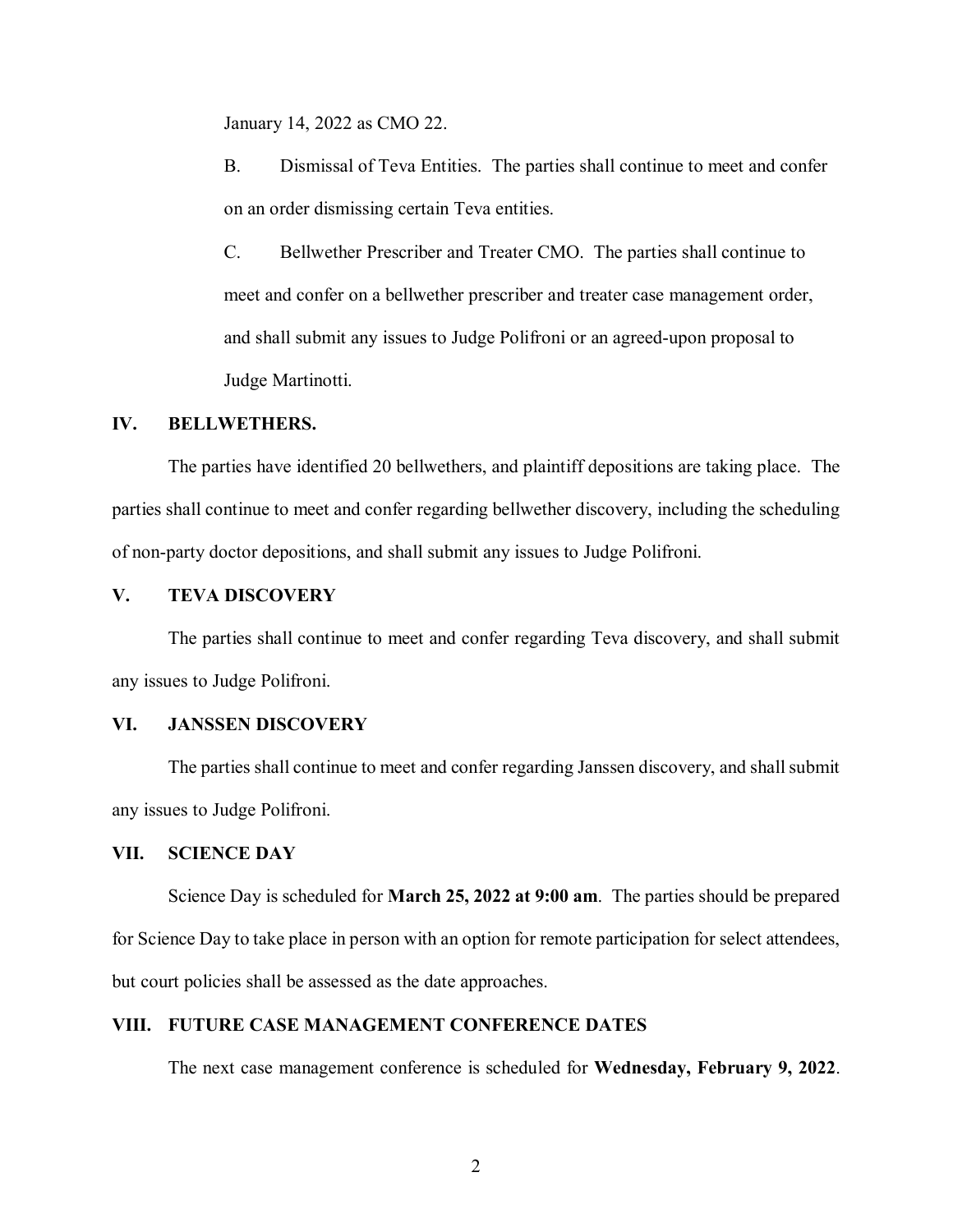January 14, 2022 as CMO 22.

B. Dismissal of Teva Entities. The parties shall continue to meet and confer on an order dismissing certain Teva entities.

C. Bellwether Prescriber and Treater CMO. The parties shall continue to meet and confer on a bellwether prescriber and treater case management order, and shall submit any issues to Judge Polifroni or an agreed-upon proposal to Judge Martinotti.

#### **IV. BELLWETHERS.**

The parties have identified 20 bellwethers, and plaintiff depositions are taking place. The parties shall continue to meet and confer regarding bellwether discovery, including the scheduling of non-party doctor depositions, and shall submit any issues to Judge Polifroni.

### **V. TEVA DISCOVERY**

The parties shall continue to meet and confer regarding Teva discovery, and shall submit any issues to Judge Polifroni.

#### **VI. JANSSEN DISCOVERY**

The parties shall continue to meet and confer regarding Janssen discovery, and shall submit any issues to Judge Polifroni.

### **VII. SCIENCE DAY**

Science Day is scheduled for **March 25, 2022 at 9:00 am**. The parties should be prepared for Science Day to take place in person with an option for remote participation for select attendees, but court policies shall be assessed as the date approaches.

### **VIII. FUTURE CASE MANAGEMENT CONFERENCE DATES**

The next case management conference is scheduled for **Wednesday, February 9, 2022**.